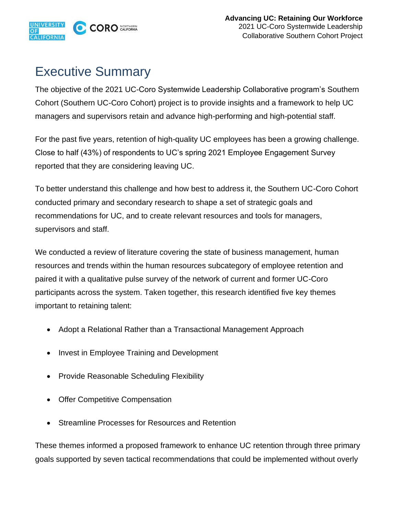

## Executive Summary

The objective of the 2021 UC-Coro Systemwide Leadership Collaborative program's Southern Cohort (Southern UC-Coro Cohort) project is to provide insights and a framework to help UC managers and supervisors retain and advance high-performing and high-potential staff.

For the past five years, retention of high-quality UC employees has been a growing challenge. Close to half (43%) of respondents to UC's spring 2021 Employee Engagement Survey reported that they are considering leaving UC.

To better understand this challenge and how best to address it, the Southern UC-Coro Cohort conducted primary and secondary research to shape a set of strategic goals and recommendations for UC, and to create relevant resources and tools for managers, supervisors and staff.

We conducted a review of literature covering the state of business management, human resources and trends within the human resources subcategory of employee retention and paired it with a qualitative pulse survey of the network of current and former UC-Coro participants across the system. Taken together, this research identified five key themes important to retaining talent:

- Adopt a Relational Rather than a Transactional Management Approach
- Invest in Employee Training and Development
- Provide Reasonable Scheduling Flexibility
- **Offer Competitive Compensation**
- Streamline Processes for Resources and Retention

These themes informed a proposed framework to enhance UC retention through three primary goals supported by seven tactical recommendations that could be implemented without overly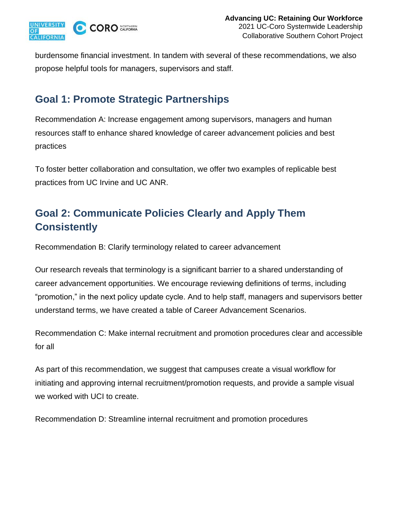

burdensome financial investment. In tandem with several of these recommendations, we also propose helpful tools for managers, supervisors and staff.

## **Goal 1: Promote Strategic Partnerships**

Recommendation A: Increase engagement among supervisors, managers and human resources staff to enhance shared knowledge of career advancement policies and best practices

To foster better collaboration and consultation, we offer two examples of replicable best practices from UC Irvine and UC ANR.

## **Goal 2: Communicate Policies Clearly and Apply Them Consistently**

Recommendation B: Clarify terminology related to career advancement

Our research reveals that terminology is a significant barrier to a shared understanding of career advancement opportunities. We encourage reviewing definitions of terms, including "promotion," in the next policy update cycle. And to help staff, managers and supervisors better understand terms, we have created a table of Career Advancement Scenarios.

Recommendation C: Make internal recruitment and promotion procedures clear and accessible for all

As part of this recommendation, we suggest that campuses create a visual workflow for initiating and approving internal recruitment/promotion requests, and provide a sample visual we worked with UCI to create.

Recommendation D: Streamline internal recruitment and promotion procedures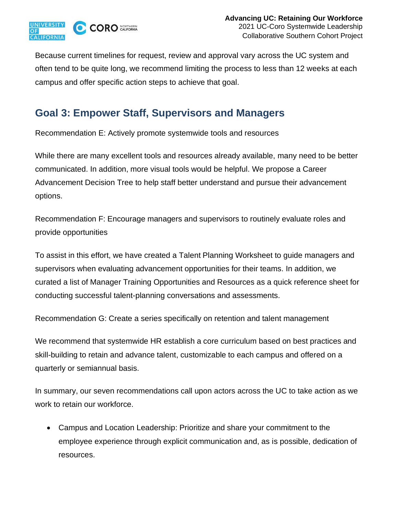

Because current timelines for request, review and approval vary across the UC system and often tend to be quite long, we recommend limiting the process to less than 12 weeks at each campus and offer specific action steps to achieve that goal.

## **Goal 3: Empower Staff, Supervisors and Managers**

Recommendation E: Actively promote systemwide tools and resources

While there are many excellent tools and resources already available, many need to be better communicated. In addition, more visual tools would be helpful. We propose a Career Advancement Decision Tree to help staff better understand and pursue their advancement options.

Recommendation F: Encourage managers and supervisors to routinely evaluate roles and provide opportunities

To assist in this effort, we have created a Talent Planning Worksheet to guide managers and supervisors when evaluating advancement opportunities for their teams. In addition, we curated a list of Manager Training Opportunities and Resources as a quick reference sheet for conducting successful talent-planning conversations and assessments.

Recommendation G: Create a series specifically on retention and talent management

We recommend that systemwide HR establish a core curriculum based on best practices and skill-building to retain and advance talent, customizable to each campus and offered on a quarterly or semiannual basis.

In summary, our seven recommendations call upon actors across the UC to take action as we work to retain our workforce.

• Campus and Location Leadership: Prioritize and share your commitment to the employee experience through explicit communication and, as is possible, dedication of resources.